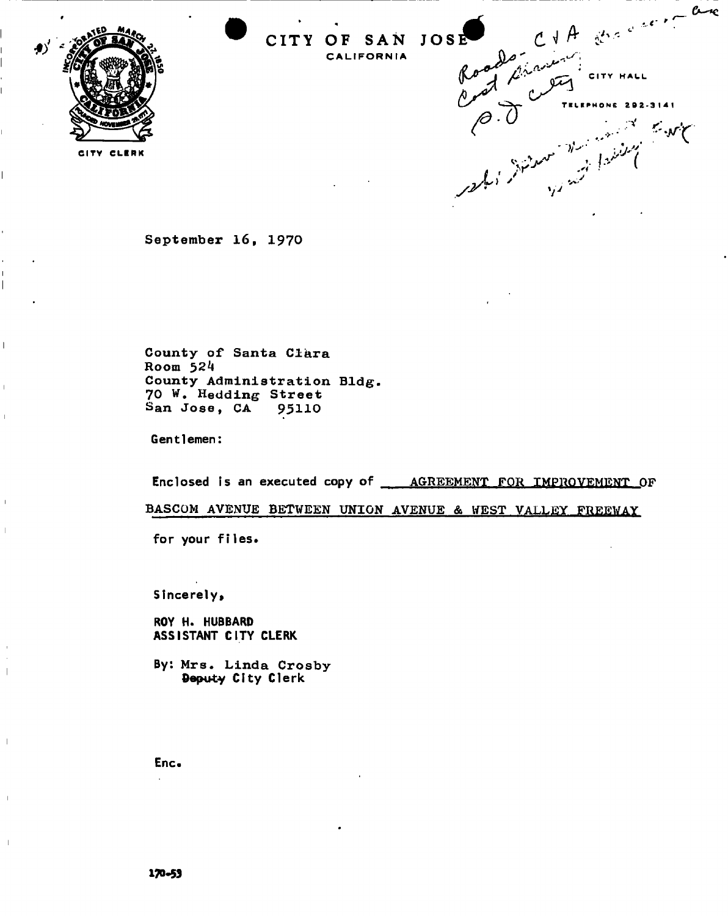



 $\overline{1}$ 

 $\overline{\phantom{a}}$ 



**September 16, 1970** 

**County of Santa Clara Room 524 County Administration Bldg. 70 W. Hedding Street San Jose, CA 95110** 

Gentlemen:

Enclosed is an executed copy of **AGREEMENT FOR IMPROVEMENT OF** 

**BASCOM AVENUE BETWEEN UNION AVENUE & WEST VALLEY FREEWAY** 

for your files.

Sincerely,

ROY H. HUBBARD ASSISTANT CITY CLERK

By: **Mrs. Linda Crosby**  Deputy City Clerk

Enc\*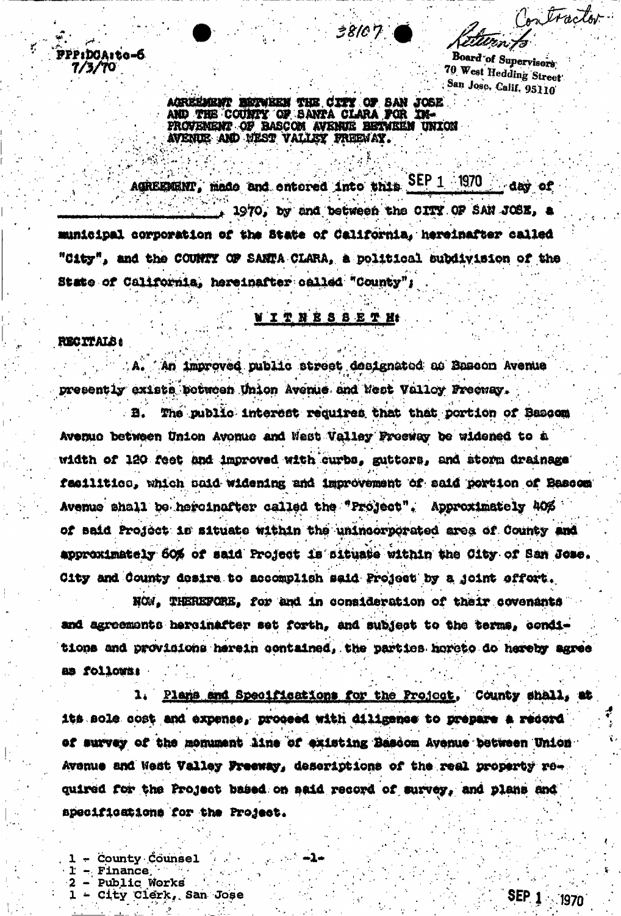Contractor atter,

**Board of Supervisors** 70 West Hedding Street San Jose, Calif. 95110

AGREEMENT BETWEEN THE CITY OF SAN JOSE. AND THE COUNTY OF SANTA CLARA FOR IN-PROVENENT OF BASCOM AVENUE BETWEEN UNION AVENUE AND WEST VALLEY FREEWAY.

38107

AGREEMENT, made and entered into this SEP  $1$  1970 day of 1970, by and between the CITY OF SAN JOSE, a municipal corporation of the State of California, hereinafter called "City", and the COUNTY OF SANTA CLARA, a political subdivision of the State of California, hereinafter called "County";

## **WITNESSETH**

**RECTTALS:** 

PPP:DOA:to-6

 $7/3/70$ 

An improved public street designated as Sasson Avenue presently exists between Union Avenue and West Valley Preeway.

The public interest requires that that portion of Bascom Avenue between Union Avenue and Nest Valley Presway be widened to a width of 120 feet and improved with curbs, gutters, and storm drainage facilitics, which said widening and improvement of said portion of Bascom Avenue shall be hereinafter called the "Project". Approximately 40% of said Project is situate within the unincorporated area of County and approximately 60% of said Project is situate within the City of San Jose. City and County desire to accomplish said Project by a joint effort.

NOW, THEREFORE, for and in consideration of their covenants and agreements hereinafter set forth, and subject to the terms, conditions and provisions herein contained, the parties horeto do hereby agree as follows:

1. Plans and Specifications for the Project, County shall, at its sole cost and expense, proceed with diligence to prepare a record of survey of the monument line of existing Bascom Avenue between Union Avenue and West Valley Freeway, descriptions of the real property required for the Project based on said record of survey, and plans and specifications for the Project.

- ∞1∞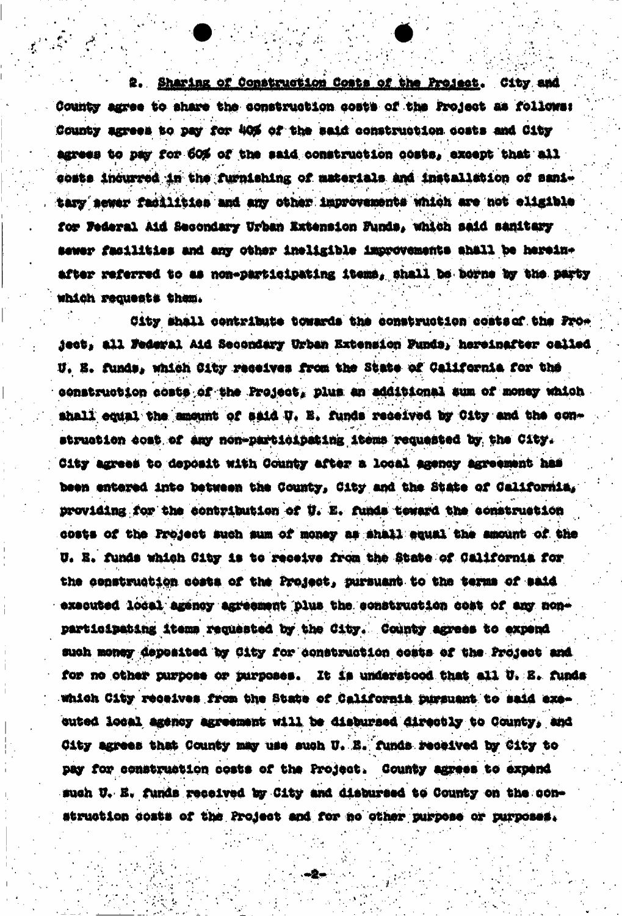Sharing of Construction Costs of the Project. City and County agree to share the construction costs of the Project as follows: County agrees to pay for 40% of the said construction costs and City agrees to pay for 60% of the said construction costs, except that all gosts incurred in the furnishing of materials and installation of sanitary sewer facilities and any other improvements which are not eligible for Federal Aid Secondary Urban Extension Funds, which said sanitary sewer facilities and any other ineligible improvements shall be hereinafter referred to as non-participating items, shall be borne by the party which requests them.

City shall contribute towards the construction costs of the Proiect, all Federal Aid Secondary Urban Extension Punds, hereinafter called U. E. funds, which City receives from the State of California for the construction costs of the Project, plus an additional sum of money which shall equal the amount of said U. E. funds received by City and the construction cost of any non-participating items requested by the City. City agrees to deposit with County after a local agency agreement has been entered into between the County, City and the State of California, providing for the contribution of U. E. funds teward the construction costs of the Project such sum of money as shall equal the smount of the U. E. funds which City is to receive from the State of California for the construction costs of the Project, pursuant to the terms of said executed local agency agreement plus the construction cost of any nonparticipating items requested by the City. County agrees to expend such money deposited by City for construction costs of the Project and for no other purpose or purposes. It is understood that all U. S. funds which City receives from the State of California pursuant to said executed local agency agreement will be disbursed directly to County, and City agrees that County may use such U. B. funds received by City to pay for construction costs of the Project. County agrees to expend such U. E. funds received by City and disbursed to County on the construction costs of the Project and for no other purpose or purposes.

 $-2-$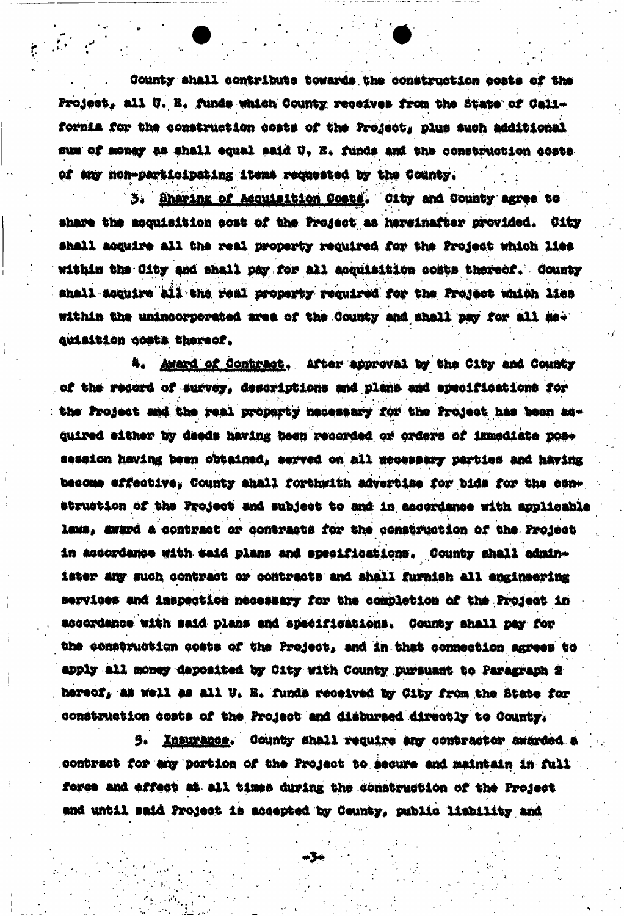County shall contribute towards the construction costs of the Project, all U. E. funds which County receives from the State of California for the construction costs of the Project, plus such additional sum of money as shall equal said U. E. funds and the construction costs of any non-participating items requested by the County.

Sharing of Acquisition Costs. Oity and County agree to 3. share the acquisition cost of the Project as hereinafter provided. City shall acquire all the real property required for the Project which lies within the City and shall pay for all acquisition costs thereof. County shall acquire all the real property required for the Project which lies within the unincorporated area of the County and shall pay for all asquisition costs thereof.

4. Award of Contract. After approval by the City and County of the record of survey, descriptions and plans and specifications for the Project and the real property necessary for the Project has been adquired either by deeds having been recorded or orders of immediate pose session having been obtained, served on all necessary parties and having become effective, County shall forthwith advertise for bids for the construction of the Project and subject to and in accordance with applicable laws, award a contract or contracts for the construction of the Project in accordance with said plans and specifications. County shall administer any such contract or contracts and shall furnish all engineering services and inspection necessary for the completion of the Project in accordance with said plans and specifications. County shall pay for the construction costs of the Project, and in that connection agrees to apply all money deposited by City with County pursuant to Paragraph 2 hereof, as well as all U. E. funds received by City from the State for construction costs of the Project and disbursed directly to County.

5. Insurance. County shall require any contractor awarded a contract for any portion of the Project to secure and maintain in full force and effect at all times during the construction of the Project and until said Project is accepted by County, public liability and

-34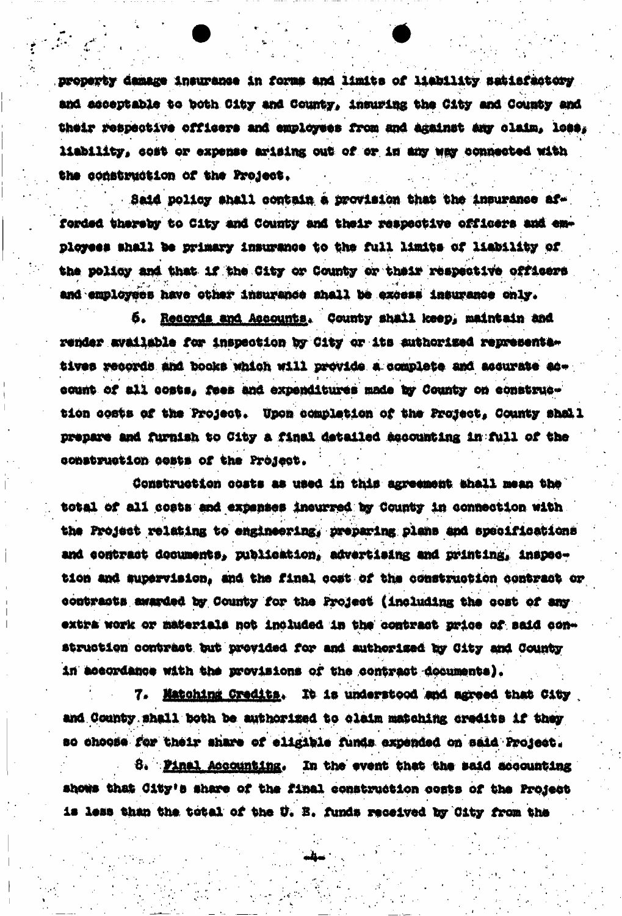property damage insurance in forms and limits of liability satisfactory and acceptable to both City and County, insuring the City and County and their respective officers and employees from and against any claim, loss, liability, cost or expense arising out of or in any way connected with the construction of the Project.

Said policy shall contain a provision that the insurance afforded thereby to City and County and their respective officers and employees shall be primary insurance to the full limits of liability of the policy and that if the City or County or their respective officers and employees have other insurance shall be excess insurance only.

Resords and Accounts. County shall keep, maintain and б. render available for inspection by City or its authorized representatives records and books which will provide a complete and accurate account of all costs, fees and expenditures made by County on construction costs of the Project. Upon completion of the Project, County shall prepare and furnish to City a final detailed accounting in full of the construction costs of the Project.

Construction costs as used in this agreement shall mean the total of all costs and expenses incurred by County in connection with the Project relating to engineering, preparing plans and specifications and contract documents, publication, advertising and printing, inspection and supervision, and the final cost of the construction contract or contracts awarded by County for the Project (including the cost of any extra work or materials not included in the contract price of said construction contract but provided for and authorized by City and County in accordance with the provisions of the contract documents).

7. Matching Credits. It is understood and agreed that City and County shall both be authorized to claim matching credits if they so choose for their share of eligible funds expended on said Project.

8. Final Accounting. In the event that the said accounting shows that City's share of the final construction costs of the Project is less than the total of the U. B. funds received by City from the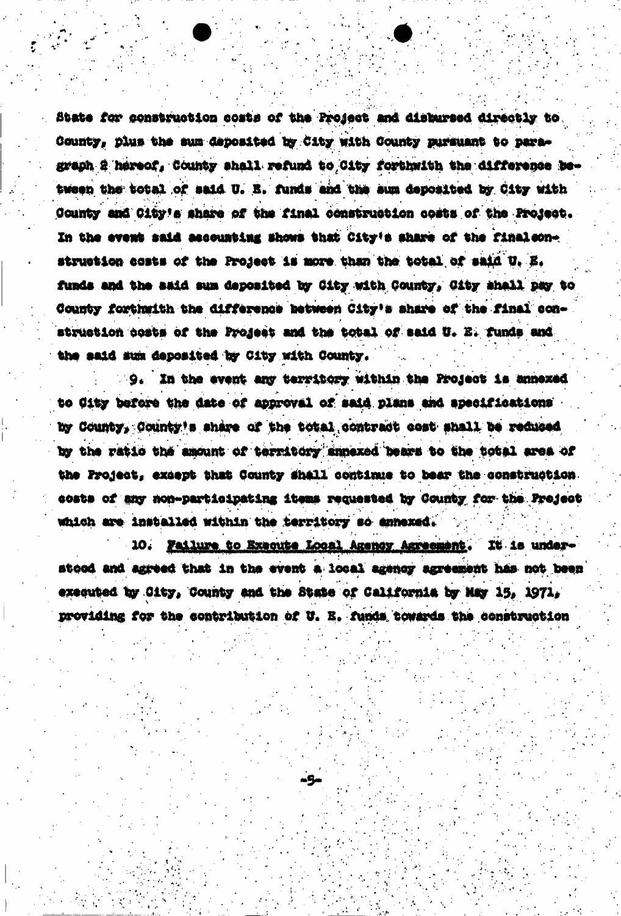State for construction costs of the Project and disbursed directly to County, plus the sum deposited by City with County pursuant to paragraph 2 hereof, County shall refund to City forthwith the difference between the total of said U. E. funds and the aum deposited by City with County and City's share of the final construction costs of the Project. In the event said accounting shows that City's share of the finalconstruction costs of the Project is more than the total of said U. E. funds and the said sum deposited by City with County, City shall pay to County forthwith the difference between City's share of the final construction costs of the Project and the total of said U. E. funds and the said sum deposited by City with County.

9. In the event any territory within the Project is annexed to City before the date of approval of said plans and specifications by County, County's share of the total contract cost shall be reduced by the ratio the amount of territory annexed bears to the total area of the Project, except that County shall continue to bear the construction. costs of any non-participating items requested by County for the Project which are installed within the territory so annexed.

10. Failure to Execute Local Agency Agreement. It is understood and agreed that in the event a local agency agreement has not been executed by City, County and the State of California by May 15, 1971, providing for the contribution of U. E. funds towards the construction

-5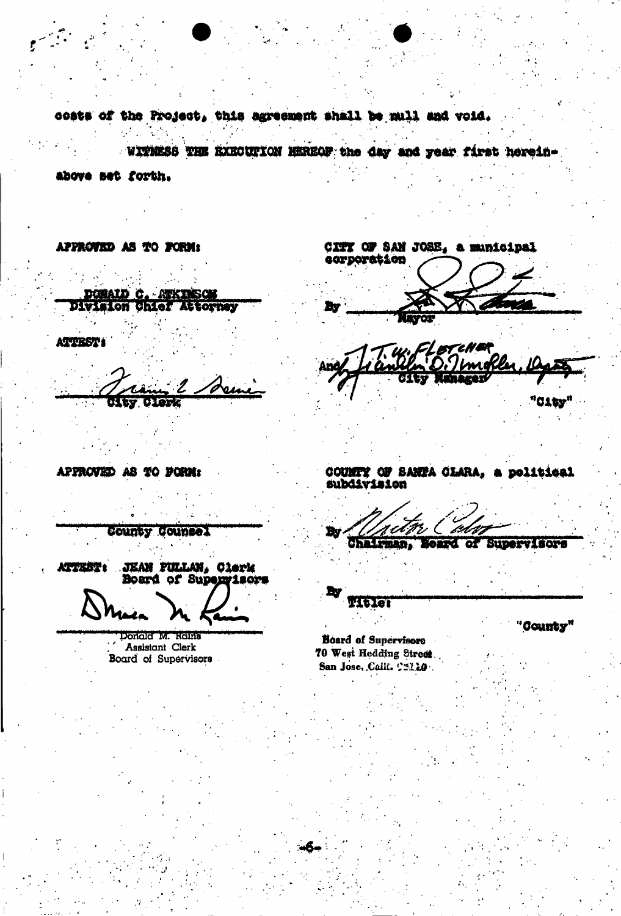costs of the Project, this agreement shall be mull and void.

WITNESS THE EXECUTION HEREOF the day and year first herein-

above set forth.

**ATTEST:** 

APPROVED AS TO FORM:

DOMAID C. ATKINSON Division Chief Attorney

CITY OF SAN JOSE, a municipal corporation

٠,

APPROVED AS TO FORM:

COUNTY OF SANTA CLARA, a political subdivision

County Counsel **JEAN PULLAN, Clerk** ATTEBT :

Board of Supervisors

Donald M. Rains Assistant Clerk Board of Supervisors

L. Tw ומז Chairman, Board of Supervisors

**Titler** 

"County"

"C1ty"

**Board of Supervisors** 70 West Hedding Street San Jose, Calif. C5110.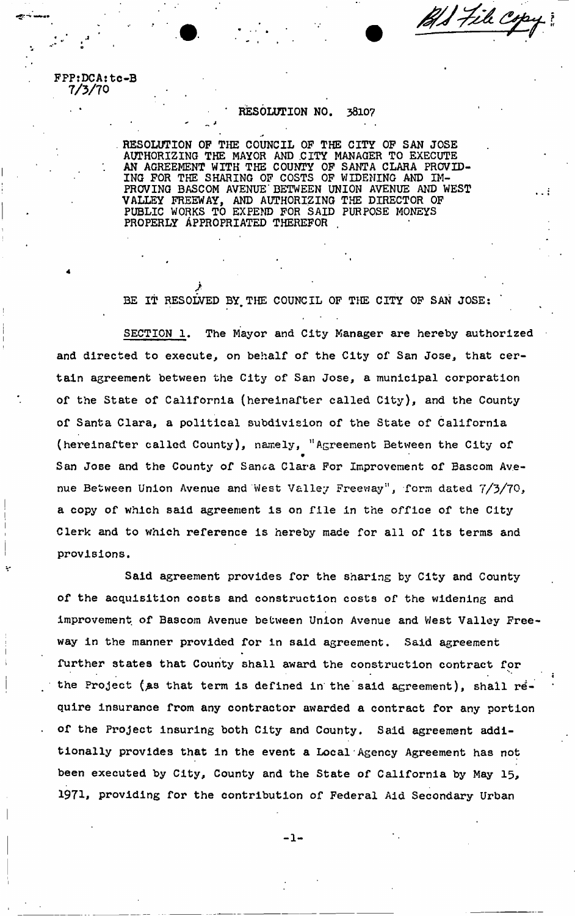1) File Co

**FFPtDCA:** tc-B **7/3/70** 

4

## **• ' RESOLUTION NO. 38107**

**RESOLUTION OP THE COUNCIL OP THE CITY OP SAN JOSE AUTHORIZING THE MAYOR AND .CITY MANAGER TO EXECUTE AN AGREEMENT WITH THE COUNTY OP SANTA CLARA PROVID-ING FOR THE SHARING OF COSTS OF WIDENING AND IM-PROVING BASCOM AVENUE'BETWEEN UNION AVENUE AND WEST VALLEY FREEWAY, AND AUTHORIZING THE DIRECTOR OF PUBLIC WORKS TO EXPEND FOR SAID PURPOSE MONEYS**  PROPERLY APPROPRIATED THEREFOR

*>*  **BE IT RESOLVED BY, THE COUNCIL OF THE CITY OF SAN JOSE:** 

• 1

**SECTION 1, The Mayor and City Manager are hereby authorized and directed to execute, on behalf of the City of San Jose, that certain agreement between the City of San Jose, a municipal corporation of the State of California (hereinafter called City), and the County of Santa Clara, a political subdivision of the State of California (hereinafter called County), namely, "Agreement Between the City of**  *m*  **San Jose and the County of Sanca Clara For Improvement of Bascom Avenue Between Union Avenue and 'West Valley Freeway<sup>1</sup>', form dated 7/3/70, a copy of which said agreement is on file in the office of the City Clerk and to which reference is hereby made for all of its terms and provisions.** 

**Said agreement provides for the sharing by City and County of the acquisition costs and construction costs of the widening and improvement of Bascom Avenue between Union Avenue and West Valley Freeway in the manner provided for in said agreement. Said agreement further states that County shall award the construction contract for**  the Project (as that term is defined in the said agreement), shall re**quire insurance from any contractor awarded a contract for any portion of the Project insuring both City and County, Said agreement additionally provides that in the event a Local Agency Agreement has not been executed by City, County and the State of California by May 15, 1971, providing for the contribution of Federal Aid Secondary Urban** 

 $-1-$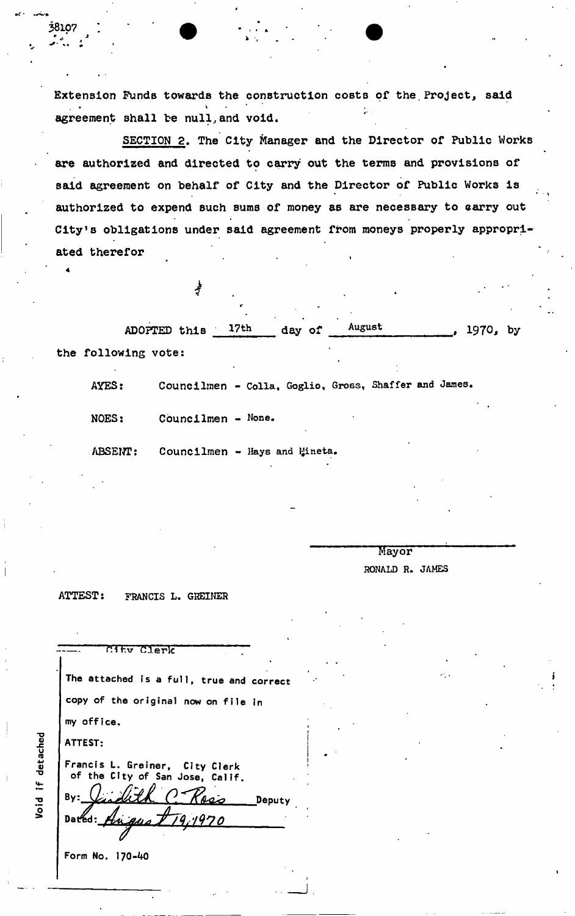**Extension Funds towards the construction costs of the.Project, said**  agreement shall be null, and void. **agreement shall be null,and void.** 

**SECTION 2. The City Manager and the Director of Public Works are authorized and directed to carry out the terms and provisions of Baid agreement on behalf of City and the Director of Public Works is authorized to expend such sums of money as are necessary to carry out City's obligations under said agreement from moneys properly appropriated therefor** 

ADOPTED this 17th day of  $\frac{\text{August}}{\text{August}}$ , 1970, by **the following vote:** 

AYES: **Councilinen - Colla, Goglio, Gross, Shaffer** and **James.** 

**NOES: Cbuncilmen - None.** 

**ABSENT: Councilmen - Hays and yineta.** 

**Mayor** 

**RONALD R. JAMES** 

**ATTEST: FRANCIS L. GHEINER** 

| City Clerk                                                        |
|-------------------------------------------------------------------|
| The attached is a full, true and correct                          |
| copy of the original now on file in                               |
| my office.                                                        |
| ATTEST:                                                           |
| Francis L. Greiner, City Clerk<br>of the City of San Jose, Calif. |
| By:<br>Deputy                                                     |
| Dated: Hugus $T$ 19,1970                                          |
|                                                                   |

Form No. 170-40

Void if detached

4

**38107**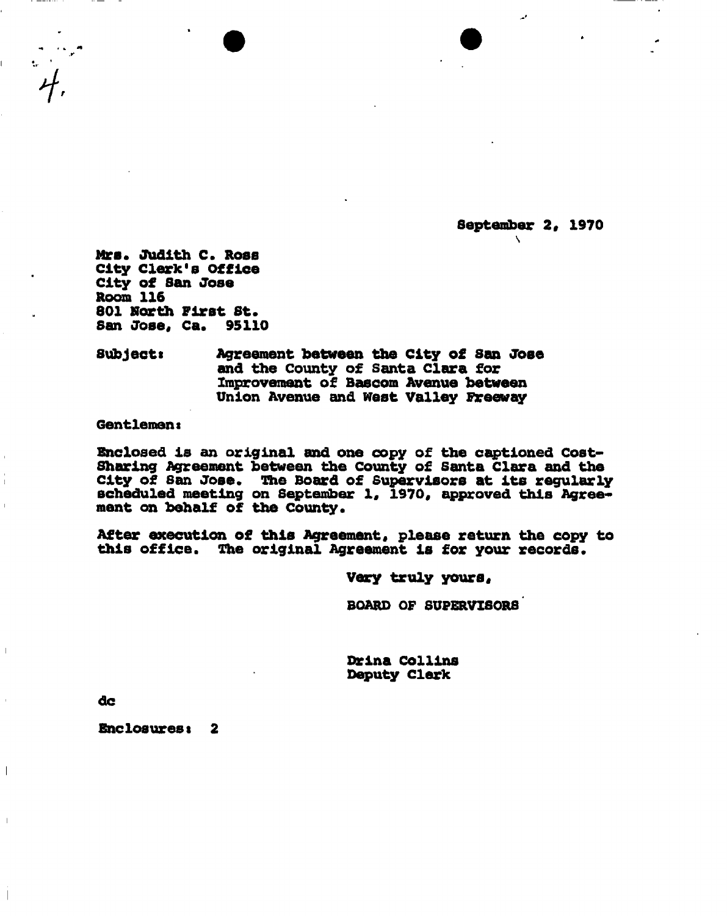**September 2, 1970** 

 $\mathbf{V}$ 

**Mrs. Judith C. Ross City Clerk's Office City of San Jose Room 116 801 North First St. San Jose, Ca. 95110** 

**Subjects Agreement between the City o£ San Jose and the County of Santa Clara for Improvement of Bascom Avenue between Union Avenue and West Valley Freeway** 

**Gentlemeni** 

**Enclosed Is an original and one copy of the captioned Cost-Sharing Agreement between the County of Santa Clara and the city of San Jose\* The Board of Supervisors at Its regularly scheduled meeting on September 1, 1970, approved this Agree**ment on behalf of the County.

**After execution of this Agreement, please return the copy to this office. The original Agreement Is for your records.** 

**Very truly yours,** 

**BOARD OF SUPERVISORS** 

**Drlna Collins Deputy Clerk** 

**dc** 

 $\overline{\phantom{a}}$ 

Enclosures: 2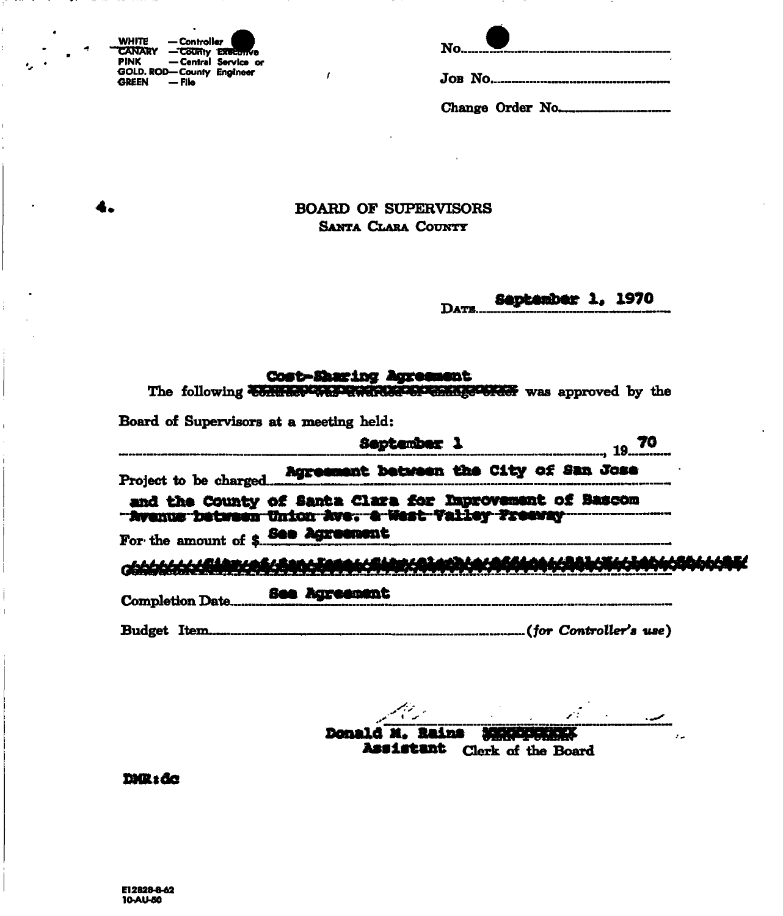| <b>WHITE</b>  | — Controller              |  |
|---------------|---------------------------|--|
| <b>CANARY</b> | - County Executive        |  |
| PINK          | - Central Service or      |  |
|               | GOLD. ROD-County Engineer |  |
| GREEN         | — File                    |  |

4.

Change Order No.........

**BOARD OF SUPERVISORS** SANTA CLARA COUNTY

 $\pmb{f}$ 

September 1, 1970 DATE.

## Cost-Sharing Agreement

The following to retain the present of the state of the subset of the sepreved by the

Board of Supervisors at a meeting held:

| September 1                                                                                                                                                                                                                          |  |
|--------------------------------------------------------------------------------------------------------------------------------------------------------------------------------------------------------------------------------------|--|
| Project to be charged <b>Agreement between the City of San Jose</b>                                                                                                                                                                  |  |
| and the County of Santa Clara for Improvement of Bascom<br>For the amount of \$800 Agreement.                                                                                                                                        |  |
| <u>CONTRACT A COMMUNICATION COMMUNICATIONS AND CONTRACT ON THE CONTRACT OF THE CONTRACT OF THE CONTRACT OF THE CONTRACT OF THE CONTRACT OF THE CONTRACT OF THE CONTRACT OF THE CONTRACT OF THE CONTRACT OF THE CONTRACT OF THE C</u> |  |
|                                                                                                                                                                                                                                      |  |
|                                                                                                                                                                                                                                      |  |

Donald M. Rains **MARKET BEATER** Assistant Clerk of the Board

DNR: de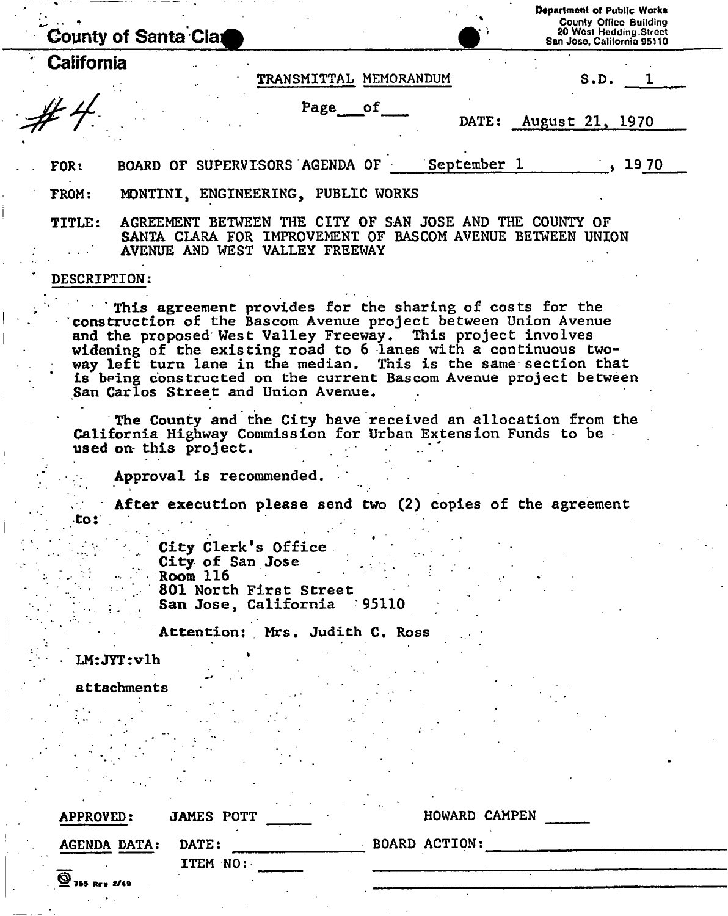|                     | <b>County of Santa Clat</b>                                                                                                                                                                                                                                                                                                                                                                                                                 |                                                      |               | Department of Public Works<br><b>County Office Building</b><br>20 West Hedding Street<br>San Jose, California 95110 |
|---------------------|---------------------------------------------------------------------------------------------------------------------------------------------------------------------------------------------------------------------------------------------------------------------------------------------------------------------------------------------------------------------------------------------------------------------------------------------|------------------------------------------------------|---------------|---------------------------------------------------------------------------------------------------------------------|
| California          |                                                                                                                                                                                                                                                                                                                                                                                                                                             |                                                      |               |                                                                                                                     |
|                     |                                                                                                                                                                                                                                                                                                                                                                                                                                             | TRANSMITTAL MEMORANDUM                               |               | S.D.                                                                                                                |
|                     |                                                                                                                                                                                                                                                                                                                                                                                                                                             | Page of                                              |               | DATE: August 21, 1970                                                                                               |
| <b>FOR:</b>         | BOARD OF SUPERVISORS AGENDA OF September 1                                                                                                                                                                                                                                                                                                                                                                                                  |                                                      |               | , 1970                                                                                                              |
| FROM:               | MONTINI, ENGINEERING, PUBLIC WORKS                                                                                                                                                                                                                                                                                                                                                                                                          |                                                      |               |                                                                                                                     |
| <b>TITLE:</b>       | AGREEMENT BETWEEN THE CITY OF SAN JOSE AND THE COUNTY OF<br>SANTA CLARA FOR IMPROVEMENT OF BASCOM AVENUE BETWEEN UNION<br>AVENUE AND WEST VALLEY FREEWAY                                                                                                                                                                                                                                                                                    |                                                      |               |                                                                                                                     |
| <b>DESCRIPTION:</b> |                                                                                                                                                                                                                                                                                                                                                                                                                                             |                                                      |               |                                                                                                                     |
|                     | This agreement provides for the sharing of costs for the<br>construction of the Bascom Avenue project between Union Avenue<br>and the proposed West Valley Freeway. This project involves<br>widening of the existing road to 6 lanes with a continuous two-<br>way left turn lane in the median. This is the same section that<br>is being constructed on the current Bascom Avenue project between<br>San Carlos Street and Union Avenue. |                                                      |               |                                                                                                                     |
|                     | The County and the City have received an allocation from the<br>California Highway Commission for Urban Extension Funds to be.<br>used on this project.<br>Approval is recommended.                                                                                                                                                                                                                                                         |                                                      |               |                                                                                                                     |
| .to:                | After execution please send two (2) copies of the agreement                                                                                                                                                                                                                                                                                                                                                                                 |                                                      |               |                                                                                                                     |
|                     | City Clerk's Office.<br>City of San Jose<br>Room 116                                                                                                                                                                                                                                                                                                                                                                                        | 801 North First Street<br>San Jose, California 95110 |               |                                                                                                                     |
|                     |                                                                                                                                                                                                                                                                                                                                                                                                                                             | Attention: Mrs. Judith C. Ross                       |               |                                                                                                                     |
|                     | LM:JYT:vlh                                                                                                                                                                                                                                                                                                                                                                                                                                  |                                                      |               |                                                                                                                     |
|                     | attachments                                                                                                                                                                                                                                                                                                                                                                                                                                 |                                                      |               |                                                                                                                     |
|                     |                                                                                                                                                                                                                                                                                                                                                                                                                                             |                                                      |               |                                                                                                                     |
|                     |                                                                                                                                                                                                                                                                                                                                                                                                                                             |                                                      |               |                                                                                                                     |
|                     |                                                                                                                                                                                                                                                                                                                                                                                                                                             |                                                      |               |                                                                                                                     |
| APPROVED:           | <b>JAMES POTT</b>                                                                                                                                                                                                                                                                                                                                                                                                                           |                                                      | HOWARD CAMPEN |                                                                                                                     |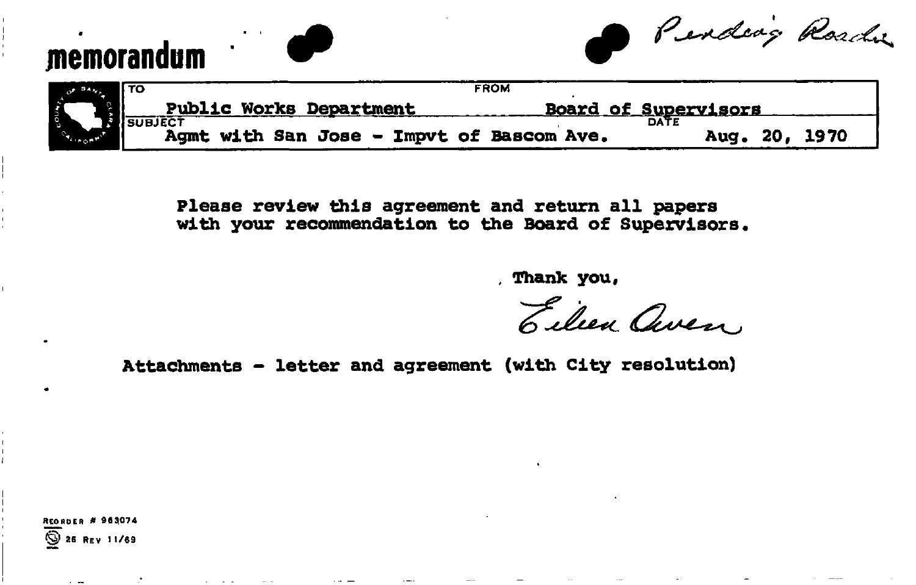## **memorandum**

Pending Roadie

| $-44W1$                 |                                              | <b>FROM</b>                               |                             |
|-------------------------|----------------------------------------------|-------------------------------------------|-----------------------------|
| <b>Anjo<sup>2</sup></b> | <b>Public Works Department</b><br><b>Pub</b> |                                           | <u>Board of Supervisors</u> |
|                         |                                              |                                           |                             |
|                         |                                              | Agmt with San Jose - Impvt of Bascom Ave. | Aug. 20, 1970               |

**Please review this agreement and return all papers with your recommendation to the Board of Supervisors.** 

**Thank you.** 

Eilen aven

**Attachments - letter and agreement (with City resolution)** 

**<sup>R</sup>**EORDER **» 963074 (§1 26 Rev 11/69** 

and the company of the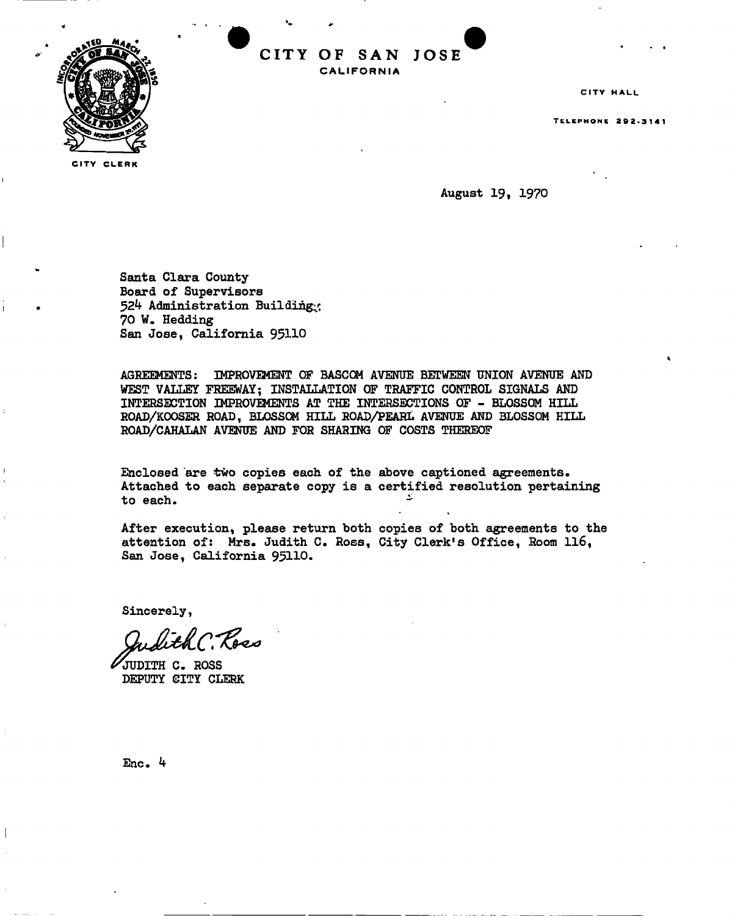

**CITY CLERK** 

CITY OF SAN JOSE **CALIFORNI A** 

CITY HALL

TELEPHON E 292-314 1

**August 19, 1970** 

**Santa Clara County Board of Supervisors 52k Administration Building^ 70 W. Hedding San Jose, California 95110** 

**AGREEMENTS: IMPROVEMENT OF BASCOM AVENUE BETWEEN UNION AVENUE AND WEST VALLEY FREEWAY; INSTALLATION OF TRAFFIC CONTROL SIGNALS AND INTERSECTION IMPROVEMENTS AT THE INTERSECTIONS OF - BLOSSOM HILL ROAD/KOOSER ROAD, BLOSSOM HILL ROAD/PEARL AVENUE AND BLOSSOM HILL ROAD/CAHALAN AVENUE AND FOR SHARING OF COSTS THEREOF** 

**Enclosed are two copies each of the above captioned agreements. Attached to each separate copy is a certified resolution pertaining to each. -**

**After execution, please return both copies of both agreements to the attention of: Mrs. Judith C. Ross, City Clerks Office, Room 116, San Jose, California 95110.** 

**Sincerely,** 

. Ross

**JUDITH C. ROSS DEPUTY CITY CLERK** 

**Enc. ^f**